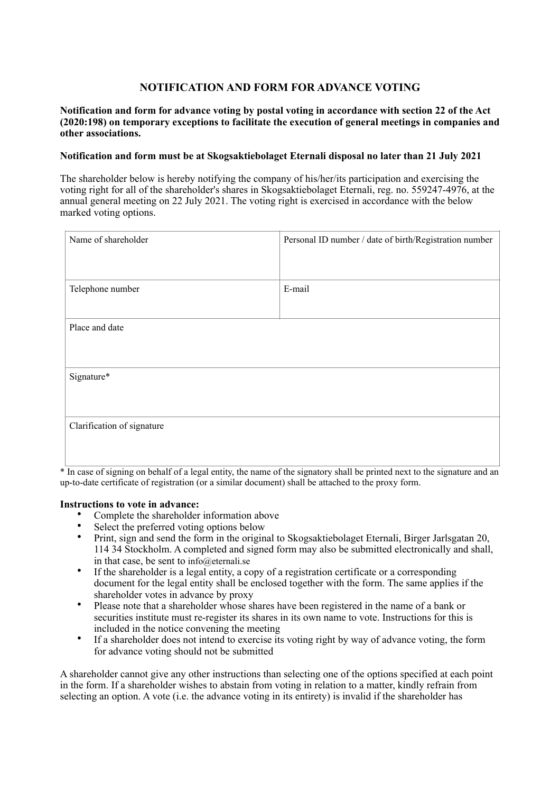# **NOTIFICATION AND FORM FOR ADVANCE VOTING**

## **Notification and form for advance voting by postal voting in accordance with section 22 of the Act (2020:198) on temporary exceptions to facilitate the execution of general meetings in companies and other associations.**

# **Notification and form must be at Skogsaktiebolaget Eternali disposal no later than 21 July 2021**

The shareholder below is hereby notifying the company of his/her/its participation and exercising the voting right for all of the shareholder's shares in Skogsaktiebolaget Eternali, reg. no. 559247-4976, at the annual general meeting on 22 July 2021. The voting right is exercised in accordance with the below marked voting options.

| Name of shareholder        | Personal ID number / date of birth/Registration number |
|----------------------------|--------------------------------------------------------|
| Telephone number           | E-mail                                                 |
| Place and date             |                                                        |
| Signature*                 |                                                        |
| Clarification of signature |                                                        |

\* In case of signing on behalf of a legal entity, the name of the signatory shall be printed next to the signature and an up-to-date certificate of registration (or a similar document) shall be attached to the proxy form.

#### **Instructions to vote in advance:**

- Complete the shareholder information above
- Select the preferred voting options below
- Print, sign and send the form in the original to Skogsaktiebolaget Eternali, Birger Jarlsgatan 20, 114 34 Stockholm. A completed and signed form may also be submitted electronically and shall, in that case, be sent to info@eternali.se
- If the shareholder is a legal entity, a copy of a registration certificate or a corresponding document for the legal entity shall be enclosed together with the form. The same applies if the shareholder votes in advance by proxy
- Please note that a shareholder whose shares have been registered in the name of a bank or securities institute must re-register its shares in its own name to vote. Instructions for this is included in the notice convening the meeting
- If a shareholder does not intend to exercise its voting right by way of advance voting, the form for advance voting should not be submitted

A shareholder cannot give any other instructions than selecting one of the options specified at each point in the form. If a shareholder wishes to abstain from voting in relation to a matter, kindly refrain from selecting an option. A vote (i.e. the advance voting in its entirety) is invalid if the shareholder has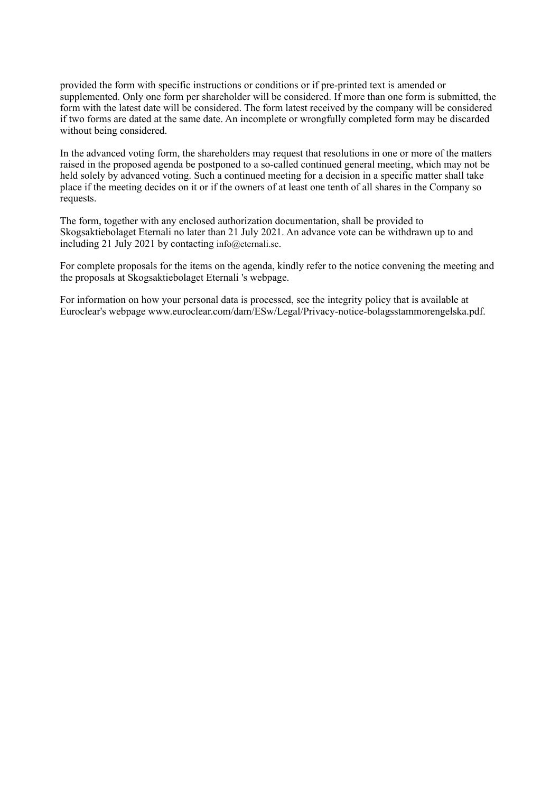provided the form with specific instructions or conditions or if pre-printed text is amended or supplemented. Only one form per shareholder will be considered. If more than one form is submitted, the form with the latest date will be considered. The form latest received by the company will be considered if two forms are dated at the same date. An incomplete or wrongfully completed form may be discarded without being considered.

In the advanced voting form, the shareholders may request that resolutions in one or more of the matters raised in the proposed agenda be postponed to a so-called continued general meeting, which may not be held solely by advanced voting. Such a continued meeting for a decision in a specific matter shall take place if the meeting decides on it or if the owners of at least one tenth of all shares in the Company so requests.

The form, together with any enclosed authorization documentation, shall be provided to Skogsaktiebolaget Eternali no later than 21 July 2021. An advance vote can be withdrawn up to and including 21 July 2021 by contacting info@eternali.se.

For complete proposals for the items on the agenda, kindly refer to the notice convening the meeting and the proposals at Skogsaktiebolaget Eternali 's webpage.

For information on how your personal data is processed, see the integrity policy that is available at Euroclear's webpage www.euroclear.com/dam/ESw/Legal/Privacy-notice-bolagsstammorengelska.pdf.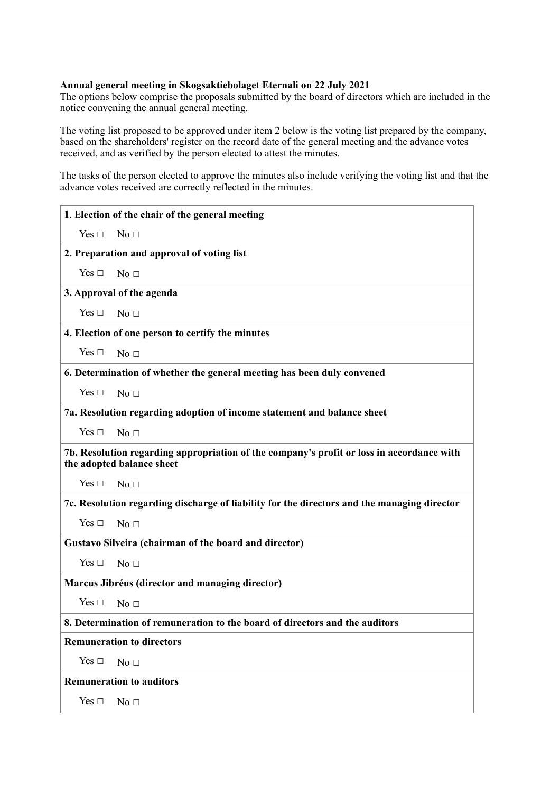## **Annual general meeting in Skogsaktiebolaget Eternali on 22 July 2021**

The options below comprise the proposals submitted by the board of directors which are included in the notice convening the annual general meeting.

The voting list proposed to be approved under item 2 below is the voting list prepared by the company, based on the shareholders' register on the record date of the general meeting and the advance votes received, and as verified by the person elected to attest the minutes.

The tasks of the person elected to approve the minutes also include verifying the voting list and that the advance votes received are correctly reflected in the minutes.

| 1. Election of the chair of the general meeting                                                                        |  |
|------------------------------------------------------------------------------------------------------------------------|--|
| Yes $\square$<br>No <sub>1</sub>                                                                                       |  |
| 2. Preparation and approval of voting list                                                                             |  |
| Yes $\Box$<br>No <sub>1</sub>                                                                                          |  |
| 3. Approval of the agenda                                                                                              |  |
| Yes $\square$<br>No <sub>1</sub>                                                                                       |  |
| 4. Election of one person to certify the minutes                                                                       |  |
| Yes $\Box$<br>No <sub>1</sub>                                                                                          |  |
| 6. Determination of whether the general meeting has been duly convened                                                 |  |
| Yes $\Box$<br>No <sub>1</sub>                                                                                          |  |
| 7a. Resolution regarding adoption of income statement and balance sheet                                                |  |
| Yes $\Box$<br>No <sub>1</sub>                                                                                          |  |
| 7b. Resolution regarding appropriation of the company's profit or loss in accordance with<br>the adopted balance sheet |  |
| Yes $\Box$<br>No <sub>1</sub>                                                                                          |  |
| 7c. Resolution regarding discharge of liability for the directors and the managing director                            |  |
| Yes $\Box$<br>No <sub>1</sub>                                                                                          |  |
| Gustavo Silveira (chairman of the board and director)                                                                  |  |
| Yes $\Box$<br>No <sub>1</sub>                                                                                          |  |
| Marcus Jibréus (director and managing director)                                                                        |  |
| Yes $\Box$<br>No <sub>1</sub>                                                                                          |  |
| 8. Determination of remuneration to the board of directors and the auditors                                            |  |
| <b>Remuneration to directors</b>                                                                                       |  |
| Yes $\Box$<br>No <sub>1</sub>                                                                                          |  |
| <b>Remuneration to auditors</b>                                                                                        |  |
| Yes $\Box$<br>No $\Box$                                                                                                |  |